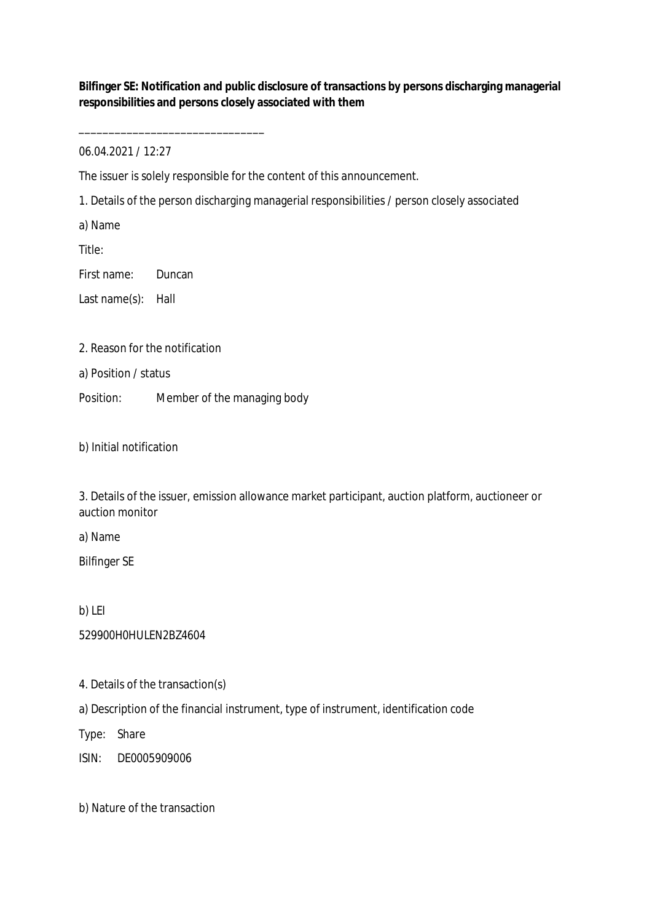**Bilfinger SE: Notification and public disclosure of transactions by persons discharging managerial responsibilities and persons closely associated with them**

06.04.2021 / 12:27

\_\_\_\_\_\_\_\_\_\_\_\_\_\_\_\_\_\_\_\_\_\_\_\_\_\_\_\_\_\_\_

The issuer is solely responsible for the content of this announcement.

1. Details of the person discharging managerial responsibilities / person closely associated

a) Name

Title:

First name: Duncan

Last name(s): Hall

2. Reason for the notification

a) Position / status

Position: Member of the managing body

b) Initial notification

3. Details of the issuer, emission allowance market participant, auction platform, auctioneer or auction monitor

a) Name

Bilfinger SE

b) LEI

529900H0HULEN2BZ4604

4. Details of the transaction(s)

a) Description of the financial instrument, type of instrument, identification code

Type: Share

ISIN: DE0005909006

b) Nature of the transaction